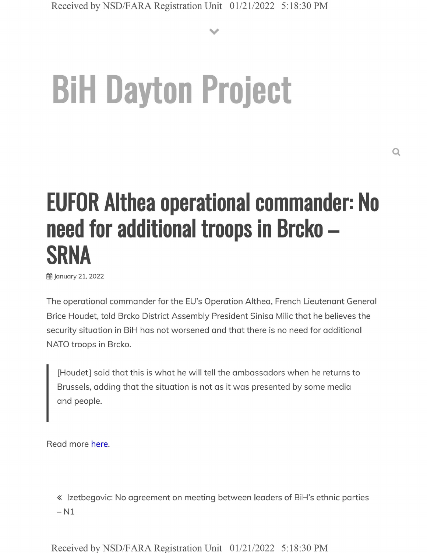**V**

# **BiH Dayton Project**

## **EUFOR Althea operational commander: No need for additional troops in Brcko - SRNA**

**曲 January 21, 2022** 

The operational commander for the EU's Operation Althea, French Lieutenant General Brice Houdet, told Brcko District Assembly President Sinisa Milic that he believes the security situation in BiH has not worsened and that there is no need for additional NATO troops in Brcko.

[Houdet] said that this is what he will tell the ambassadors when he returns to Brussels, adding that the situation is not as it was presented by some media and people.

Read more here.

« Izetbegovic: No agreement on meeting between leaders of BiH's ethnic parties  $- N1$ 

Received by NSD/FARA Registration Unit 01/21/2022 5:18:30 PM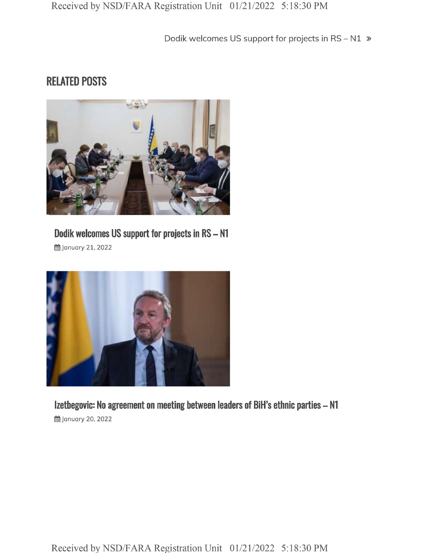Dodik welcomes US support for projects in RS-N1 »

#### RELATED POSTS



### **Dodik welcomes US support for projects in RS - <sup>N</sup>**

**曲 January 21, 2022** 



**Izetbegovic: No agreement on meeting between leaders of BiH's ethnic parties - N1 曲 January 20, 2022**